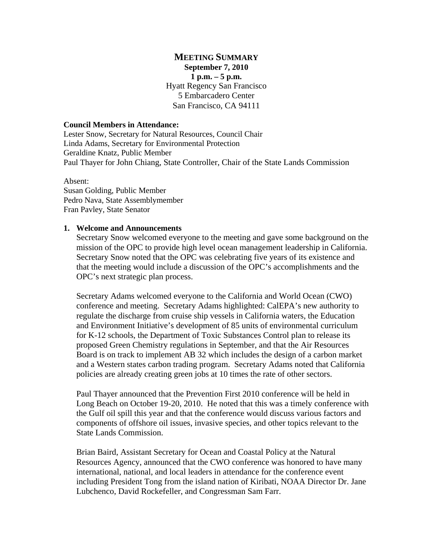## **MEETING SUMMARY September 7, 2010 1 p.m. – 5 p.m.** Hyatt Regency San Francisco 5 Embarcadero Center San Francisco, CA 94111

#### **Council Members in Attendance:**

Lester Snow, Secretary for Natural Resources, Council Chair Linda Adams, Secretary for Environmental Protection Geraldine Knatz, Public Member Paul Thayer for John Chiang, State Controller, Chair of the State Lands Commission

Absent: Susan Golding, Public Member Pedro Nava, State Assemblymember Fran Pavley, State Senator

#### **1. Welcome and Announcements**

Secretary Snow welcomed everyone to the meeting and gave some background on the mission of the OPC to provide high level ocean management leadership in California. Secretary Snow noted that the OPC was celebrating five years of its existence and that the meeting would include a discussion of the OPC's accomplishments and the OPC's next strategic plan process.

Secretary Adams welcomed everyone to the California and World Ocean (CWO) conference and meeting. Secretary Adams highlighted: CalEPA's new authority to regulate the discharge from cruise ship vessels in California waters, the Education and Environment Initiative's development of 85 units of environmental curriculum for K-12 schools, the Department of Toxic Substances Control plan to release its proposed Green Chemistry regulations in September, and that the Air Resources Board is on track to implement AB 32 which includes the design of a carbon market and a Western states carbon trading program. Secretary Adams noted that California policies are already creating green jobs at 10 times the rate of other sectors.

Paul Thayer announced that the Prevention First 2010 conference will be held in Long Beach on October 19-20, 2010. He noted that this was a timely conference with the Gulf oil spill this year and that the conference would discuss various factors and components of offshore oil issues, invasive species, and other topics relevant to the State Lands Commission.

Brian Baird, Assistant Secretary for Ocean and Coastal Policy at the Natural Resources Agency, announced that the CWO conference was honored to have many international, national, and local leaders in attendance for the conference event including President Tong from the island nation of Kiribati, NOAA Director Dr. Jane Lubchenco, David Rockefeller, and Congressman Sam Farr.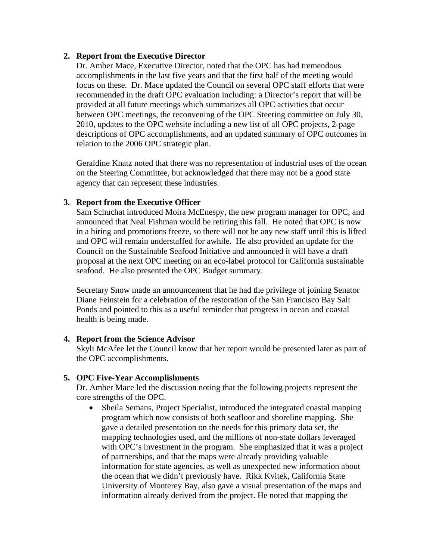### **2. Report from the Executive Director**

Dr. Amber Mace, Executive Director, noted that the OPC has had tremendous accomplishments in the last five years and that the first half of the meeting would focus on these. Dr. Mace updated the Council on several OPC staff efforts that were recommended in the draft OPC evaluation including: a Director's report that will be provided at all future meetings which summarizes all OPC activities that occur between OPC meetings, the reconvening of the OPC Steering committee on July 30, 2010, updates to the OPC website including a new list of all OPC projects, 2-page descriptions of OPC accomplishments, and an updated summary of OPC outcomes in relation to the 2006 OPC strategic plan.

Geraldine Knatz noted that there was no representation of industrial uses of the ocean on the Steering Committee, but acknowledged that there may not be a good state agency that can represent these industries.

## **3. Report from the Executive Officer**

Sam Schuchat introduced Moira McEnespy, the new program manager for OPC, and announced that Neal Fishman would be retiring this fall. He noted that OPC is now in a hiring and promotions freeze, so there will not be any new staff until this is lifted and OPC will remain understaffed for awhile. He also provided an update for the Council on the Sustainable Seafood Initiative and announced it will have a draft proposal at the next OPC meeting on an eco-label protocol for California sustainable seafood. He also presented the OPC Budget summary.

Secretary Snow made an announcement that he had the privilege of joining Senator Diane Feinstein for a celebration of the restoration of the San Francisco Bay Salt Ponds and pointed to this as a useful reminder that progress in ocean and coastal health is being made.

### **4. Report from the Science Advisor**

Skyli McAfee let the Council know that her report would be presented later as part of the OPC accomplishments.

### **5. OPC Five-Year Accomplishments**

Dr. Amber Mace led the discussion noting that the following projects represent the core strengths of the OPC.

• Sheila Semans, Project Specialist, introduced the integrated coastal mapping program which now consists of both seafloor and shoreline mapping. She gave a detailed presentation on the needs for this primary data set, the mapping technologies used, and the millions of non-state dollars leveraged with OPC's investment in the program. She emphasized that it was a project of partnerships, and that the maps were already providing valuable information for state agencies, as well as unexpected new information about the ocean that we didn't previously have. Rikk Kvitek, California State University of Monterey Bay, also gave a visual presentation of the maps and information already derived from the project. He noted that mapping the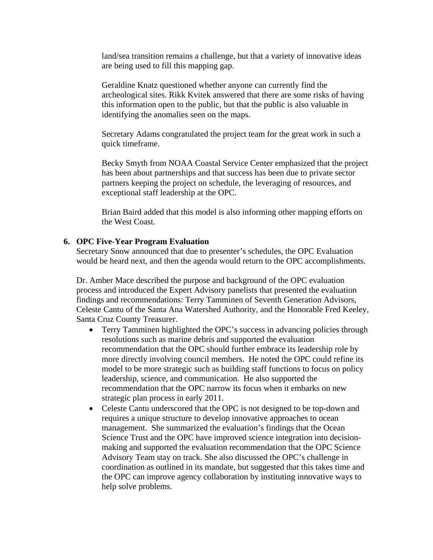land/sea transition remains a challenge, but that a variety of innovative ideas are being used to fill this mapping gap.

Geraldine Knatz questioned whether anyone can currently find the archeological sites. Rikk Kvitek answered that there are some risks of having this information open to the public, but that the public is also valuable in identifying the anomalies seen on the maps.

Secretary Adams congratulated the project team for the great work in such a quick timeframe.

Becky Smyth from NOAA Coastal Service Center emphasized that the project has been about partnerships and that success has been due to private sector partners keeping the project on schedule, the leveraging of resources, and exceptional staff leadership at the OPC.

Brian Baird added that this model is also informing other mapping efforts on the West Coast.

### **6. OPC Five-Year Program Evaluation**

Secretary Snow announced that due to presenter's schedules, the OPC Evaluation would be heard next, and then the agenda would return to the OPC accomplishments.

Dr. Amber Mace described the purpose and background of the OPC evaluation process and introduced the Expert Advisory panelists that presented the evaluation findings and recommendations: Terry Tamminen of Seventh Generation Advisors, Celeste Cantu of the Santa Ana Watershed Authority, and the Honorable Fred Keeley, Santa Cruz County Treasurer.

- Terry Tamminen highlighted the OPC's success in advancing policies through resolutions such as marine debris and supported the evaluation recommendation that the OPC should further embrace its leadership role by more directly involving council members. He noted the OPC could refine its model to be more strategic such as building staff functions to focus on policy leadership, science, and communication. He also supported the recommendation that the OPC narrow its focus when it embarks on new strategic plan process in early 2011.
- Celeste Cantu underscored that the OPC is not designed to be top-down and requires a unique structure to develop innovative approaches to ocean management. She summarized the evaluation's findings that the Ocean Science Trust and the OPC have improved science integration into decisionmaking and supported the evaluation recommendation that the OPC Science Advisory Team stay on track. She also discussed the OPC's challenge in coordination as outlined in its mandate, but suggested that this takes time and the OPC can improve agency collaboration by instituting innovative ways to help solve problems.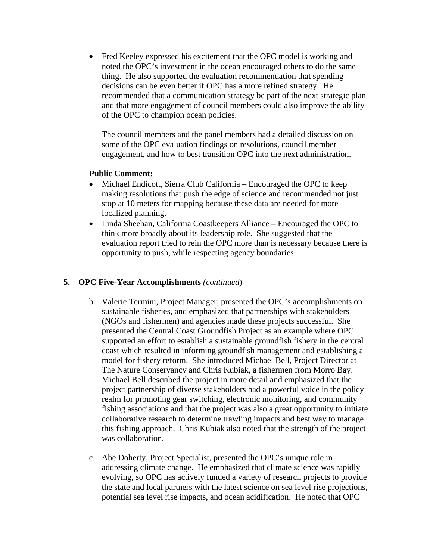• Fred Keeley expressed his excitement that the OPC model is working and noted the OPC's investment in the ocean encouraged others to do the same thing. He also supported the evaluation recommendation that spending decisions can be even better if OPC has a more refined strategy. He recommended that a communication strategy be part of the next strategic plan and that more engagement of council members could also improve the ability of the OPC to champion ocean policies.

The council members and the panel members had a detailed discussion on some of the OPC evaluation findings on resolutions, council member engagement, and how to best transition OPC into the next administration.

## **Public Comment:**

- Michael Endicott, Sierra Club California Encouraged the OPC to keep making resolutions that push the edge of science and recommended not just stop at 10 meters for mapping because these data are needed for more localized planning.
- Linda Sheehan, California Coastkeepers Alliance Encouraged the OPC to think more broadly about its leadership role. She suggested that the evaluation report tried to rein the OPC more than is necessary because there is opportunity to push, while respecting agency boundaries.

# **5. OPC Five-Year Accomplishments** *(continued*)

- b. Valerie Termini, Project Manager, presented the OPC's accomplishments on sustainable fisheries, and emphasized that partnerships with stakeholders (NGOs and fishermen) and agencies made these projects successful. She presented the Central Coast Groundfish Project as an example where OPC supported an effort to establish a sustainable groundfish fishery in the central coast which resulted in informing groundfish management and establishing a model for fishery reform. She introduced Michael Bell, Project Director at The Nature Conservancy and Chris Kubiak, a fishermen from Morro Bay. Michael Bell described the project in more detail and emphasized that the project partnership of diverse stakeholders had a powerful voice in the policy realm for promoting gear switching, electronic monitoring, and community fishing associations and that the project was also a great opportunity to initiate collaborative research to determine trawling impacts and best way to manage this fishing approach. Chris Kubiak also noted that the strength of the project was collaboration.
- c. Abe Doherty, Project Specialist, presented the OPC's unique role in addressing climate change. He emphasized that climate science was rapidly evolving, so OPC has actively funded a variety of research projects to provide the state and local partners with the latest science on sea level rise projections, potential sea level rise impacts, and ocean acidification. He noted that OPC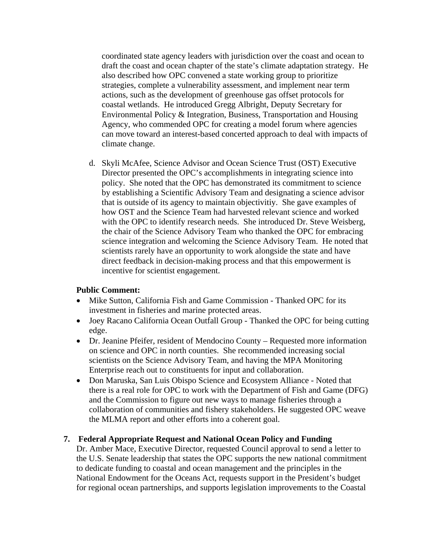coordinated state agency leaders with jurisdiction over the coast and ocean to draft the coast and ocean chapter of the state's climate adaptation strategy. He also described how OPC convened a state working group to prioritize strategies, complete a vulnerability assessment, and implement near term actions, such as the development of greenhouse gas offset protocols for coastal wetlands. He introduced Gregg Albright, Deputy Secretary for Environmental Policy & Integration, Business, Transportation and Housing Agency, who commended OPC for creating a model forum where agencies can move toward an interest-based concerted approach to deal with impacts of climate change.

d. Skyli McAfee, Science Advisor and Ocean Science Trust (OST) Executive Director presented the OPC's accomplishments in integrating science into policy. She noted that the OPC has demonstrated its commitment to science by establishing a Scientific Advisory Team and designating a science advisor that is outside of its agency to maintain objectivitiy. She gave examples of how OST and the Science Team had harvested relevant science and worked with the OPC to identify research needs. She introduced Dr. Steve Weisberg, the chair of the Science Advisory Team who thanked the OPC for embracing science integration and welcoming the Science Advisory Team. He noted that scientists rarely have an opportunity to work alongside the state and have direct feedback in decision-making process and that this empowerment is incentive for scientist engagement.

# **Public Comment:**

- Mike Sutton, California Fish and Game Commission Thanked OPC for its investment in fisheries and marine protected areas.
- Joey Racano California Ocean Outfall Group Thanked the OPC for being cutting edge.
- Dr. Jeanine Pfeifer, resident of Mendocino County Requested more information on science and OPC in north counties. She recommended increasing social scientists on the Science Advisory Team, and having the MPA Monitoring Enterprise reach out to constituents for input and collaboration.
- Don Maruska, San Luis Obispo Science and Ecosystem Alliance Noted that there is a real role for OPC to work with the Department of Fish and Game (DFG) and the Commission to figure out new ways to manage fisheries through a collaboration of communities and fishery stakeholders. He suggested OPC weave the MLMA report and other efforts into a coherent goal.

### **7. Federal Appropriate Request and National Ocean Policy and Funding**

Dr. Amber Mace, Executive Director, requested Council approval to send a letter to the U.S. Senate leadership that states the OPC supports the new national commitment to dedicate funding to coastal and ocean management and the principles in the National Endowment for the Oceans Act, requests support in the President's budget for regional ocean partnerships, and supports legislation improvements to the Coastal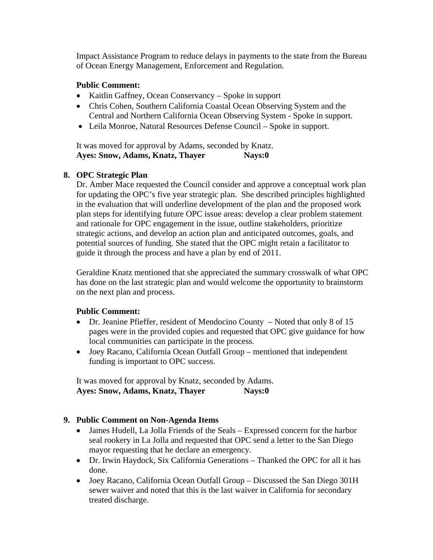Impact Assistance Program to reduce delays in payments to the state from the Bureau of Ocean Energy Management, Enforcement and Regulation.

## **Public Comment:**

- Kaitlin Gaffney, Ocean Conservancy Spoke in support
- Chris Cohen, Southern California Coastal Ocean Observing System and the Central and Northern California Ocean Observing System - Spoke in support.
- Leila Monroe, Natural Resources Defense Council Spoke in support.

It was moved for approval by Adams, seconded by Knatz. Ayes: Snow, Adams, Knatz, Thayer Nays:0

## **8. OPC Strategic Plan**

Dr. Amber Mace requested the Council consider and approve a conceptual work plan for updating the OPC's five year strategic plan. She described principles highlighted in the evaluation that will underline development of the plan and the proposed work plan steps for identifying future OPC issue areas: develop a clear problem statement and rationale for OPC engagement in the issue, outline stakeholders, prioritize strategic actions, and develop an action plan and anticipated outcomes, goals, and potential sources of funding. She stated that the OPC might retain a facilitator to guide it through the process and have a plan by end of 2011.

Geraldine Knatz mentioned that she appreciated the summary crosswalk of what OPC has done on the last strategic plan and would welcome the opportunity to brainstorm on the next plan and process.

# **Public Comment:**

- Dr. Jeanine Pfieffer, resident of Mendocino County Noted that only 8 of 15 pages were in the provided copies and requested that OPC give guidance for how local communities can participate in the process.
- Joey Racano, California Ocean Outfall Group mentioned that independent funding is important to OPC success.

It was moved for approval by Knatz, seconded by Adams. Ayes: Snow, Adams, Knatz, Thayer Nays:0

### **9. Public Comment on Non-Agenda Items**

- James Hudell, La Jolla Friends of the Seals Expressed concern for the harbor seal rookery in La Jolla and requested that OPC send a letter to the San Diego mayor requesting that he declare an emergency.
- Dr. Irwin Haydock, Six California Generations Thanked the OPC for all it has done.
- Joey Racano, California Ocean Outfall Group Discussed the San Diego 301H sewer waiver and noted that this is the last waiver in California for secondary treated discharge.